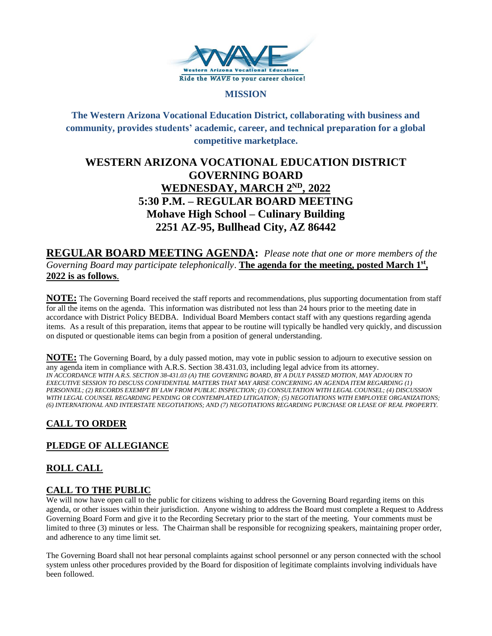

### **MISSION**

**The Western Arizona Vocational Education District, collaborating with business and community, provides students' academic, career, and technical preparation for a global competitive marketplace.**

# **WESTERN ARIZONA VOCATIONAL EDUCATION DISTRICT GOVERNING BOARD WEDNESDAY, MARCH 2<sup>ND</sup>, 2022 5:30 P.M. – REGULAR BOARD MEETING Mohave High School – Culinary Building 2251 AZ-95, Bullhead City, AZ 86442**

**REGULAR BOARD MEETING AGENDA:** *Please note that one or more members of the Governing Board may participate telephonically*. **The agenda for the meeting, posted March 1 st , 2022 is as follows**.

**NOTE:** The Governing Board received the staff reports and recommendations, plus supporting documentation from staff for all the items on the agenda. This information was distributed not less than 24 hours prior to the meeting date in accordance with District Policy BEDBA. Individual Board Members contact staff with any questions regarding agenda items. As a result of this preparation, items that appear to be routine will typically be handled very quickly, and discussion on disputed or questionable items can begin from a position of general understanding.

**NOTE:** The Governing Board, by a duly passed motion, may vote in public session to adjourn to executive session on any agenda item in compliance with A.R.S. Section 38.431.03, including legal advice from its attorney. *IN ACCORDANCE WITH A.R.S. SECTION 38-431.03 (A) THE GOVERNING BOARD, BY A DULY PASSED MOTION, MAY ADJOURN TO EXECUTIVE SESSION TO DISCUSS CONFIDENTIAL MATTERS THAT MAY ARISE CONCERNING AN AGENDA ITEM REGARDING (1) PERSONNEL; (2) RECORDS EXEMPT BY LAW FROM PUBLIC INSPECTION; (3) CONSULTATION WITH LEGAL COUNSEL; (4) DISCUSSION WITH LEGAL COUNSEL REGARDING PENDING OR CONTEMPLATED LITIGATION; (5) NEGOTIATIONS WITH EMPLOYEE ORGANIZATIONS; (6) INTERNATIONAL AND INTERSTATE NEGOTIATIONS; AND (7) NEGOTIATIONS REGARDING PURCHASE OR LEASE OF REAL PROPERTY.*

# **CALL TO ORDER**

# **PLEDGE OF ALLEGIANCE**

# **ROLL CALL**

# **CALL TO THE PUBLIC**

We will now have open call to the public for citizens wishing to address the Governing Board regarding items on this agenda, or other issues within their jurisdiction. Anyone wishing to address the Board must complete a Request to Address Governing Board Form and give it to the Recording Secretary prior to the start of the meeting. Your comments must be limited to three (3) minutes or less. The Chairman shall be responsible for recognizing speakers, maintaining proper order, and adherence to any time limit set.

The Governing Board shall not hear personal complaints against school personnel or any person connected with the school system unless other procedures provided by the Board for disposition of legitimate complaints involving individuals have been followed.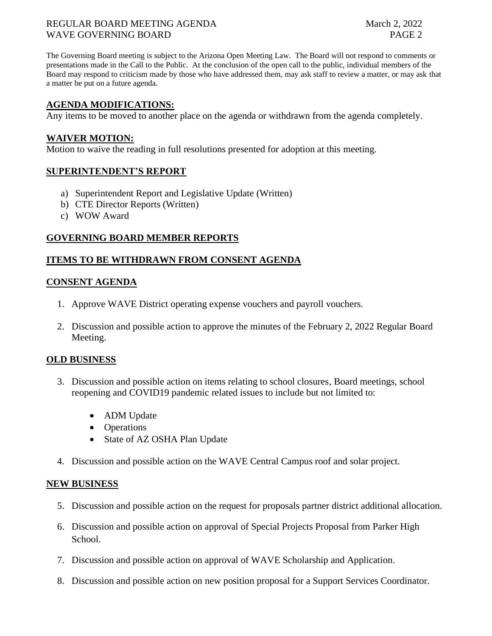### REGULAR BOARD MEETING AGENDA March 2, 2022 WAVE GOVERNING BOARD **PAGE 2**

The Governing Board meeting is subject to the Arizona Open Meeting Law. The Board will not respond to comments or presentations made in the Call to the Public. At the conclusion of the open call to the public, individual members of the Board may respond to criticism made by those who have addressed them, may ask staff to review a matter, or may ask that a matter be put on a future agenda.

## **AGENDA MODIFICATIONS:**

Any items to be moved to another place on the agenda or withdrawn from the agenda completely.

#### **WAIVER MOTION:**

Motion to waive the reading in full resolutions presented for adoption at this meeting.

## **SUPERINTENDENT'S REPORT**

- a) Superintendent Report and Legislative Update (Written)
- b) CTE Director Reports (Written)
- c) WOW Award

## **GOVERNING BOARD MEMBER REPORTS**

## **ITEMS TO BE WITHDRAWN FROM CONSENT AGENDA**

#### **CONSENT AGENDA**

- 1. Approve WAVE District operating expense vouchers and payroll vouchers.
- 2. Discussion and possible action to approve the minutes of the February 2, 2022 Regular Board Meeting.

#### **OLD BUSINESS**

- 3. Discussion and possible action on items relating to school closures, Board meetings, school reopening and COVID19 pandemic related issues to include but not limited to:
	- ADM Update
	- Operations
	- State of AZ OSHA Plan Update
- 4. Discussion and possible action on the WAVE Central Campus roof and solar project.

#### **NEW BUSINESS**

- 5. Discussion and possible action on the request for proposals partner district additional allocation.
- 6. Discussion and possible action on approval of Special Projects Proposal from Parker High School.
- 7. Discussion and possible action on approval of WAVE Scholarship and Application.
- 8. Discussion and possible action on new position proposal for a Support Services Coordinator.